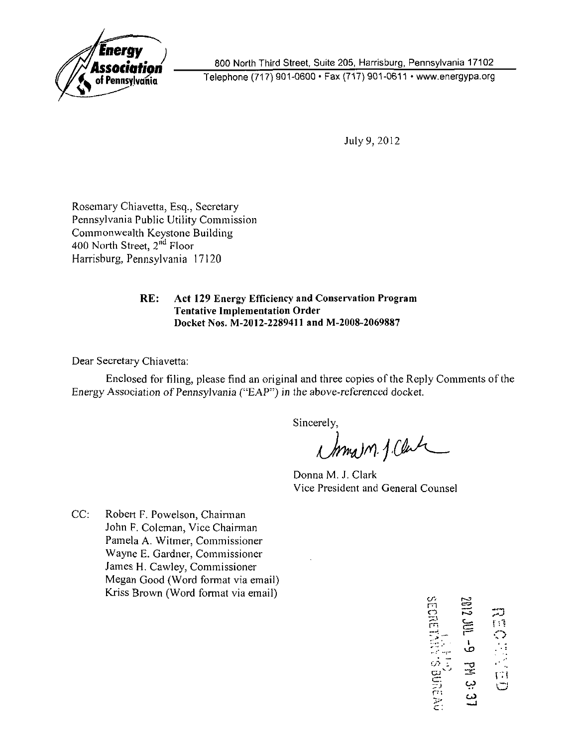

800 North Third Street, Suite 205, Harrisburg, Pennsylvania 17102 Telephone (717)901-0600 • Fax (717)901-0611 • www.energypa.org

July 9, 2012

Rosemary Chiavetta, Esq., Secretary Pennsylvania Public Utility Commission Commonwealth Keystone Building 400 North Street, 2<sup>nd</sup> Floor Harrisburg, Pennsylvania 17120

> **RE: Act 129 Energy Efficiency and Conservation Program Tentative Implementation Order Docket Nos. M-2012-2289411 and M-2008-2069887**

Dear Secretary Chiavetta:

Enclosed for filing, please find an original and three copies of the Reply Comments of the Energy Association of Pennsylvania ("EAP") in the above-referenced docket.

Sincerely,

Mmam J. Clara

Donna M. J. Clark Vice President and General Counsel

CC: Robert F. Powelson, Chairman John F. Coleman, Vice Chairman Pamela A. Witmer, Commissioner Wayne E. Gardner, Commissioner James H. Cawley, Commissioner Megan Good (Word format via email) Kriss Brown (Word format via email)

m  $\mathbf{r}$  : rn  $\Xi$ i -a<br>-a o cr. " J P i >> دب ین  $\overline{a}$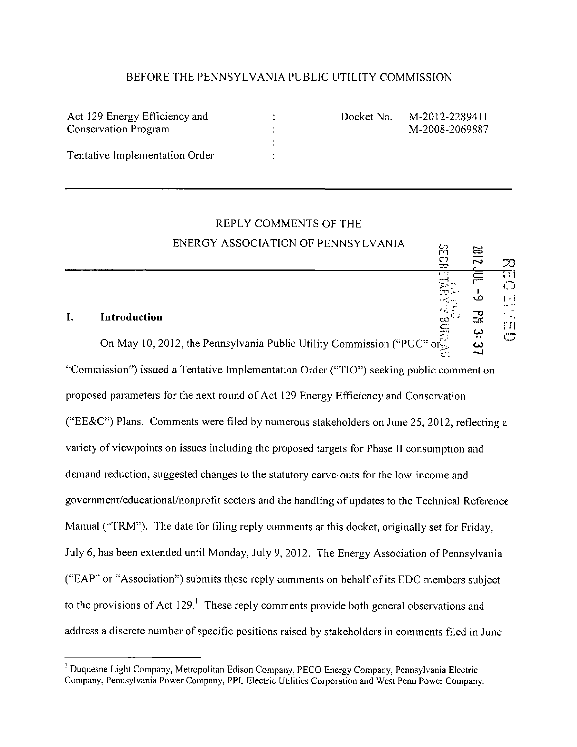## BEFORE THE PENNSYLVANIA PUBLIC UTILITY COMMISSION

| Act 129 Energy Efficiency and  | Docket No. | M-2012-2289411 |
|--------------------------------|------------|----------------|
| Conservation Program           |            | M-2008-2069887 |
|                                |            |                |
| Tentative Implementation Order |            |                |
|                                |            |                |

**E**<br> **E**<br> **E**<br> **C**<br> **C**<br> **C**<br> **C**<br> **C**<br> **C**<br> **C** 

ڊي

**- 1 • I** 

C"

**o** 

׀' **:** '

# REPLY COMMENTS OF THE ENERGY ASSOCIATION OF PENNSYLVANIA

#### **I. Introduction**

On May 10, 2012, the Pennsylvania Public Utility Commission ("PUC" or  $\ddot{\text{c}}$ , co "Commission'') issued a Tentative Implementation Order ("TIO") seeking public comment on proposed parameters for the next round of Act 129 Energy Efficiency and Conservation ("EE&C") Plans. Comments were filed by numerous stakeholders on June 25, 2012, reflecting a variety of viewpoints on issues including the proposed targets for Phase II consumption and demand reduction, suggested changes to the statutory carve-outs for the low-income and govemment/educational/nonprofit sectors and the handling of updates to the Technical Reference Manual ("TRM"). The date for filing reply comments at this docket, originally set for Friday, July 6, has been extended until Monday, July 9, 2012. The Energy Association of Pennsylvania ("EAP" or "Association") submits these reply comments on behalf of its EDC members subject to the provisions of Act 129.' These reply comments provide both general observations and address a discrete number of specific positions raised by stakeholders in comments filed in June

<sup>&</sup>lt;sup>1</sup> Duquesne Light Company, Metropolitan Edison Company, PECO Energy Company, Pennsylvania Electric Company, Pennsylvania Power Company, PPL Electric Utilities Corporation and West Penn Power Company.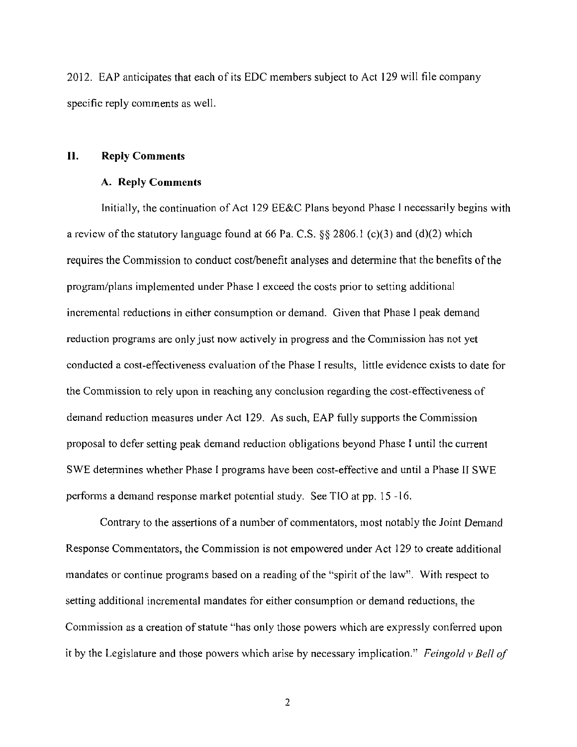2012. EAP anticipates that each of its EDC members subject to Act 129 will file company specific reply comments as well.

# **II. Reply Comments**

#### **A. Reply Comments**

Initially, the continuation of Act 129 EE&C Plans beyond Phase I necessarily begins with a review of the statutory language found at 66 Pa. C.S. §§ 2806.1 (c)(3) and (d)(2) which requires the Commission to conduct cost/benefit analyses and detennine that the benefits of the program/plans implemented under Phase 1 exceed the costs prior to setting additional incremental reductions in either consumption or demand. Given that Phase I peak demand reduction programs are only just now actively in progress and the Commission has not yet conducted a cost-effectiveness evaluation of the Phase I results, little evidence exists to date for the Commission to rely upon in reaching any conclusion regarding the cost-effectiveness of demand reduction measures under Act 129. As such, EAP fully supports the Commission proposal to defer setting peak demand reduction obligations beyond Phase I until the current SWE detennines whether Phase I programs have been cost-effective and until a Phase II SWE performs a demand response market potential study. See TIO at pp. 15 -16.

*Contrary to the assertions of a number of commentators, most notably the Joint Demand Response Commentators, the Commission is not empowered under Act 129 to create additional mandates or continue programs based on a reading of the "spirit of the law". With respect to setting additional incremental mandates for either consumption or demand reductions, the Commission as a creation of statute "has only those powers which are expressly conferred upon it by the Legislature and those powers which arise by necessary implication." Feingold v Bell of* 

 $\overline{2}$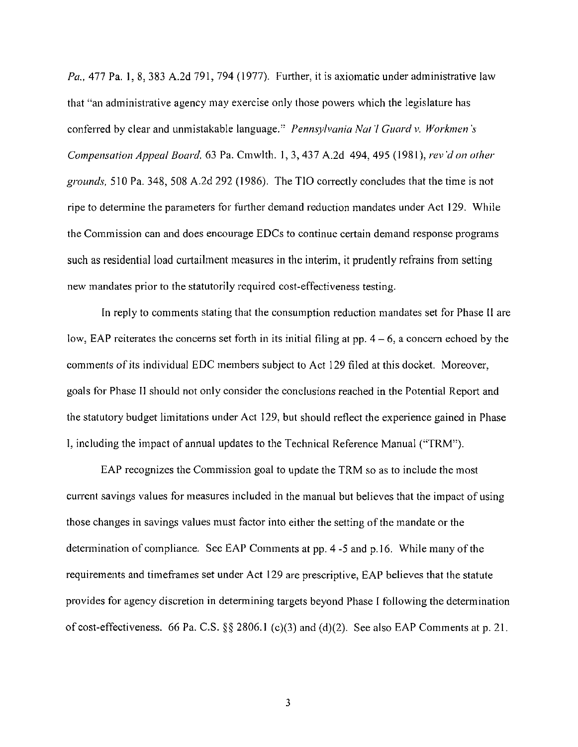Pa., 477 Pa. 1, 8, 383 A.2d 791, 794 (1977). Further, it is axiomatic under administrative law that "an administrative agency may exercise only those powers which the legislature has conferred by clear and unmistakable language." Pennsylvania Nat'l Guard v. Workmen's Compensation Appeal Board, 63 Pa. Cmwlth. 1, 3, 437 A.2d 494, 495 (1981), rev'd on other grounds, 510 Pa. 348, 508 A.2d 292 (1986). The TIO correctly concludes that the time is not ripe to determine the parameters for further demand reduction mandates under Act 129. While the Commission can and does encourage EDCs to continue certain demand response programs such as residential load curtailment measures in the interim, it prudently refrains from setting new mandates prior to the statutorily required cost-effectiveness testing.

In reply to comments stating that the consumption reduction mandates set for Phase II are low, EAP reiterates the concerns set forth in its initial filing at pp.  $4 - 6$ , a concern echoed by the comments of its individual EDC members subject to Act 129 filed at this docket. Moreover, goals for Phase II should not only consider the conclusions reached in the Potential Report and the statutory budget limitations under Act 129, but should reflect the experience gained in Phase I, including the impact of annual updates to the Technical Reference Manual ("TRM").

EAP recognizes the Commission goal to update the TRM so as to include the most current savings values for measures included in the manual but believes that the impact of using those changes in savings values must factor into either the setting of the mandate or the determination of compliance. See EAP Comments at pp. 4 -5 and p. 16. While many of the requirements and timeframes set under Act 129 are prescriptive, EAP believes that the statute provides for agency discretion in determining targets beyond Phase I following the determination of cost-effectiveness. 66 Pa. C.S. §§ 2806.1 (c)(3) and (d)(2). See also EAP Comments at p. 21.

 $\overline{3}$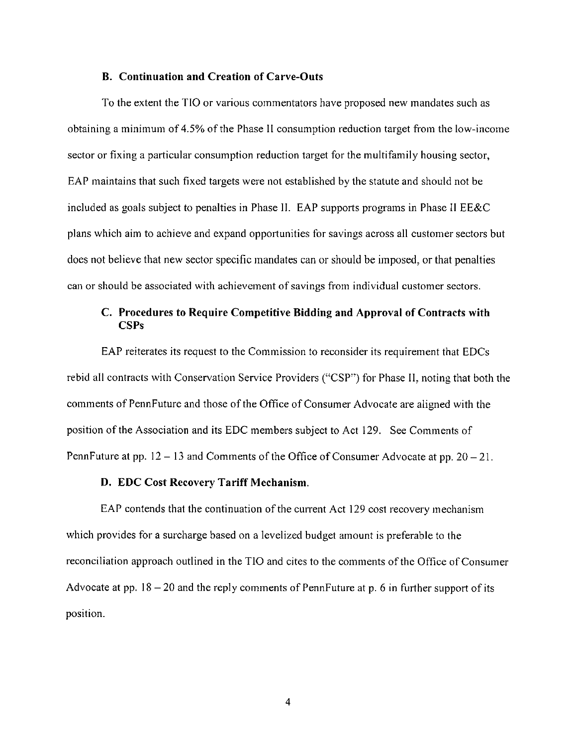#### **B. Continuation and Creation of Carve-Outs**

To the extent the TIO or various commentators have proposed new mandates such as obtaining a minimum of 4.5% of the Phase II consumption reduction target from the low-income sector or fixing a particular consumption reduction target for the multifamily housing sector, EAP maintains that such fixed targets were not established by the statute and should not be included as goals subject to penalties in Phase II. EAP supports programs in Phase II EE&C plans which aim to achieve and expand opportunities for savings across all customer sectors but does not believe that new sector specific mandates can or should be imposed, or that penalties can or should be associated with achievement of savings from individual customer sectors.

# **C. Procedures to Require Competitive Bidding and Approval of Contracts with CSPs**

EAP reiterates its request to the Commission to reconsider its requirement that EDCs rebid all contracts with Conservation Service Providers ("CSP") for Phase II. noting that both the comments of PennFuture and those of the Office of Consumer Advocate are aligned with the position of the Association and its EDC members subject to Act 129. See Comments of PennFuture at pp.  $12-13$  and Comments of the Office of Consumer Advocate at pp.  $20-21$ .

#### **D. EDC Cost Recovery Tariff Mechanism.**

EAP contends that the continuation of the current Act 129 cost recovery mechanism which provides for a surcharge based on a levelized budget amount is preferable to the reconciliation approach outlined in the TIO and cites to the comments of the Office of Consumer Advocate at pp.  $18 - 20$  and the reply comments of PennFuture at p. 6 in further support of its position.